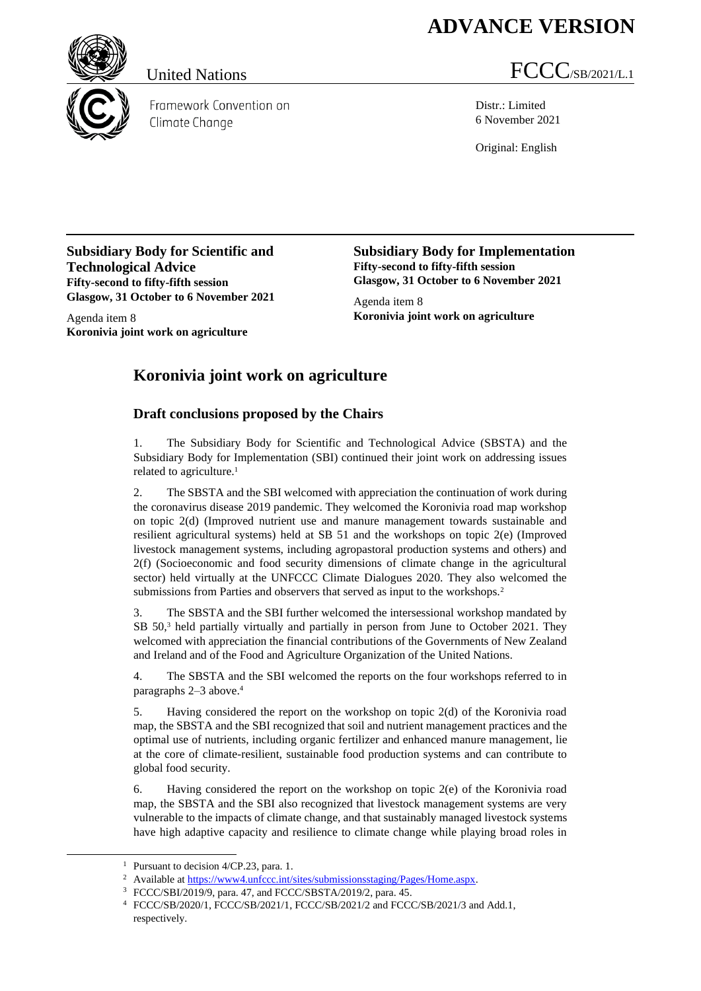## **ADVANCE VERSION**



Framework Convention on Climate Change

## United Nations  $FCCC/SB/2021/L.1$

Distr.: Limited 6 November 2021

Original: English

**Subsidiary Body for Scientific and Technological Advice Fifty-second to fifty-fifth session Glasgow, 31 October to 6 November 2021**

Agenda item 8 **Koronivia joint work on agriculture** **Subsidiary Body for Implementation Fifty-second to fifty-fifth session Glasgow, 31 October to 6 November 2021**

Agenda item 8 **Koronivia joint work on agriculture**

## **Koronivia joint work on agriculture**

## **Draft conclusions proposed by the Chairs**

1. The Subsidiary Body for Scientific and Technological Advice (SBSTA) and the Subsidiary Body for Implementation (SBI) continued their joint work on addressing issues related to agriculture.<sup>1</sup>

<span id="page-0-0"></span>2. The SBSTA and the SBI welcomed with appreciation the continuation of work during the coronavirus disease 2019 pandemic. They welcomed the Koronivia road map workshop on topic 2(d) (Improved nutrient use and manure management towards sustainable and resilient agricultural systems) held at SB 51 and the workshops on topic 2(e) (Improved livestock management systems, including agropastoral production systems and others) and 2(f) (Socioeconomic and food security dimensions of climate change in the agricultural sector) held virtually at the UNFCCC Climate Dialogues 2020. They also welcomed the submissions from Parties and observers that served as input to the workshops.<sup>2</sup>

<span id="page-0-1"></span>3. The SBSTA and the SBI further welcomed the intersessional workshop mandated by SB 50,<sup>3</sup> held partially virtually and partially in person from June to October 2021. They welcomed with appreciation the financial contributions of the Governments of New Zealand and Ireland and of the Food and Agriculture Organization of the United Nations.

4. The SBSTA and the SBI welcomed the reports on the four workshops referred to in paragraphs [2–](#page-0-0)[3](#page-0-1) above.<sup>4</sup>

5. Having considered the report on the workshop on topic 2(d) of the Koronivia road map, the SBSTA and the SBI recognized that soil and nutrient management practices and the optimal use of nutrients, including organic fertilizer and enhanced manure management, lie at the core of climate-resilient, sustainable food production systems and can contribute to global food security.

6. Having considered the report on the workshop on topic 2(e) of the Koronivia road map, the SBSTA and the SBI also recognized that livestock management systems are very vulnerable to the impacts of climate change, and that sustainably managed livestock systems have high adaptive capacity and resilience to climate change while playing broad roles in

<sup>&</sup>lt;sup>1</sup> Pursuant to decision 4/CP.23, para. 1.

<sup>&</sup>lt;sup>2</sup> Available a[t https://www4.unfccc.int/sites/submissionsstaging/Pages/Home.aspx.](about:blank)

<sup>3</sup> FCCC/SBI/2019/9, para. 47, and FCCC/SBSTA/2019/2, para. 45.

<sup>4</sup> FCCC/SB/2020/1, FCCC/SB/2021/1, FCCC/SB/2021/2 and FCCC/SB/2021/3 and Add.1, respectively.